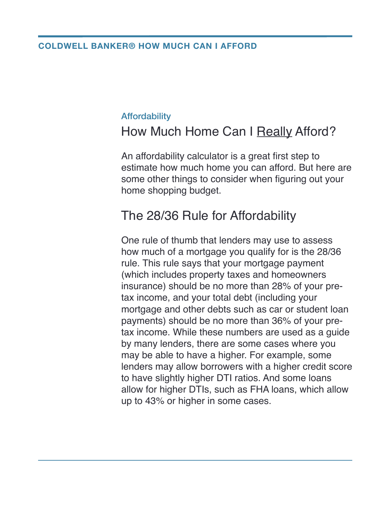#### **COLDWELL BANKER® HOW MUCH CAN I AFFORD**

#### **Affordability**

### How Much Home Can I Really Afford?

An affordability calculator is a great first step to estimate how much home you can afford. But here are some other things to consider when figuring out your home shopping budget.

### The 28/36 Rule for Affordability

One rule of thumb that lenders may use to assess how much of a mortgage you qualify for is the 28/36 rule. This rule says that your mortgage payment (which includes property taxes and homeowners insurance) should be no more than 28% of your pretax income, and your total debt (including your mortgage and other debts such as car or student loan payments) should be no more than 36% of your pretax income. While these numbers are used as a guide by many lenders, there are some cases where you may be able to have a higher. For example, some lenders may allow borrowers with a higher credit score to have slightly higher DTI ratios. And some loans allow for higher DTIs, such as FHA loans, which allow up to 43% or higher in some cases.